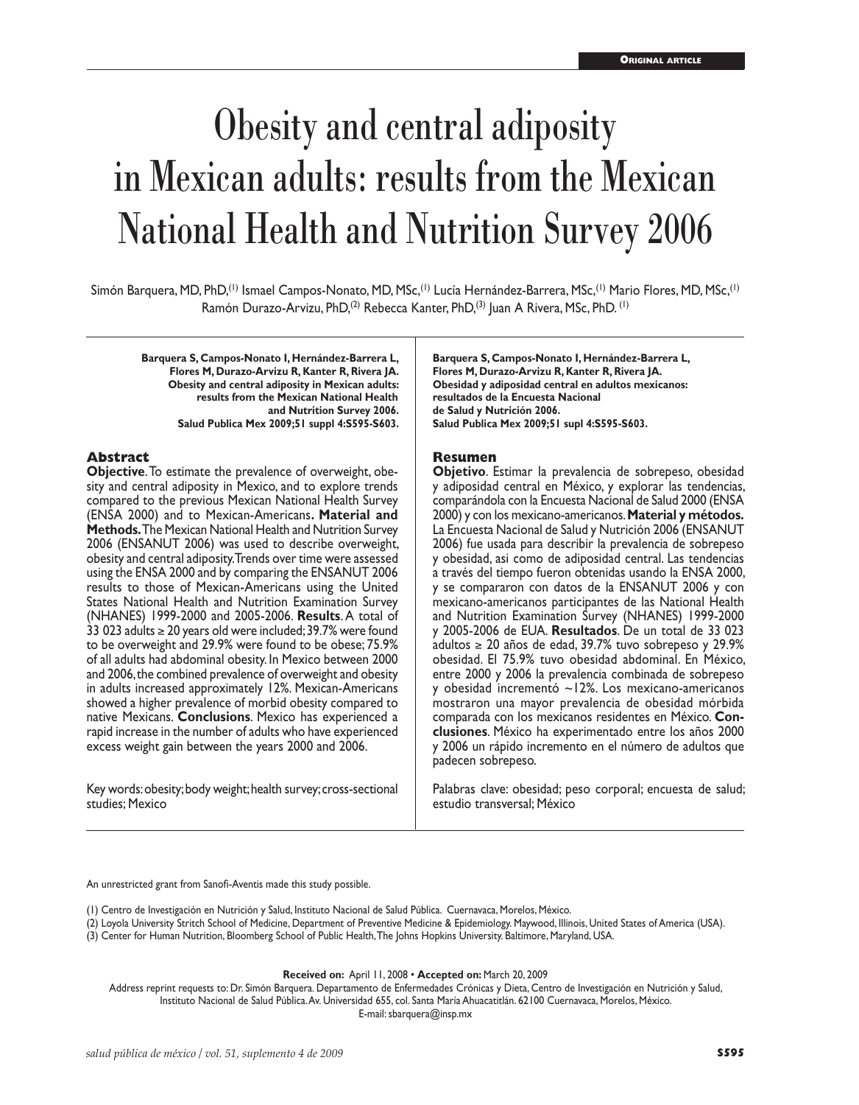# Obesity and central adiposity in Mexican adults: results from the Mexican National Health and Nutrition Survey 2006

Simón Barquera, MD, PhD,<sup>(1)</sup> Ismael Campos-Nonato, MD, MSc,<sup>(1)</sup> Lucía Hernández-Barrera, MSc,<sup>(1)</sup> Mario Flores, MD, MSc,<sup>(1)</sup> Ramón Durazo-Arvizu, PhD,<sup>(2)</sup> Rebecca Kanter, PhD,<sup>(3)</sup> Juan A Rivera, MSc, PhD.<sup>(1)</sup>

**Barquera S, Campos-Nonato I, Hernández-Barrera L, Flores M, Durazo-Arvizu R, Kanter R, Rivera JA. Obesity and central adiposity in Mexican adults: results from the Mexican National Health and Nutrition Survey 2006. Salud Publica Mex 2009;51 suppl 4:S595-S603.**

#### **Abstract**

**Objective**. To estimate the prevalence of overweight, obe sity and central adiposity in Mexico, and to explore trends compared to the previous Mexican National Health Survey (ENSA 2000) and to Mexican-Americans**. Material and Methods.** The Mexican National Health and Nutrition Survey 2006 (ENSANUT 2006) was used to describe overweight, obesity and central adiposity. Trends over time were assessed using the ENSA 2000 and by comparing the ENSANUT 2006 results to those of Mexican-Americans using the United States National Health and Nutrition Examination Survey (NHANES) 1999-2000 and 2005-2006. **Results**. A total of 33 023 adults ≥ 20 years old were included; 39.7% were found to be overweight and 29.9% were found to be obese; 75.9% of all adults had abdominal obesity. In Mexico between 2000 and 2006, the combined prevalence of overweight and obesity in adults increased approximately 12%. Mexican-Americans showed a higher prevalence of morbid obesity compared to native Mexicans. **Conclusions**. Mexico has experienced a rapid increase in the number of adults who have experienced excess weight gain between the years 2000 and 2006.

Key words: obesity; body weight; health survey; cross-sectional studies; Mexico

**Barquera S, Campos-Nonato I, Hernández-Barrera L, Flores M, Durazo-Arvizu R, Kanter R, Rivera JA. Obesidad y adiposidad central en adultos mexicanos: resultados de la Encuesta Nacional de Salud y Nutrición 2006. Salud Publica Mex 2009;51 supl 4:S595-S603.**

#### **Resumen**

**Objetivo**. Estimar la prevalencia de sobrepeso, obesidad y adiposidad central en México, y explorar las tendencias, comparándola con la Encuesta Nacional de Salud 2000 (ENSA 2000) y con los mexicano-americanos. **Material y métodos.** La Encuesta Nacional de Salud y Nutrición 2006 (ENSANUT 2006) fue usada para describir la prevalencia de sobrepeso y obesidad, asi como de adiposidad central. Las tendencias a través del tiempo fueron obtenidas usando la ENSA 2000, y se compararon con datos de la ENSANUT 2006 y con mexicano-americanos participantes de las National Health and Nutrition Examination Survey (NHANES) 1999-2000 y 2005-2006 de EUA. **Resultados**. De un total de 33 023 adultos ≥ 20 años de edad, 39.7% tuvo sobrepeso y 29.9% obesidad. El 75.9% tuvo obesidad abdominal. En México, entre 2000 y 2006 la prevalencia combinada de sobrepeso y obesidad incrementó ~12%. Los mexicano-americanos mostraron una mayor prevalencia de obesidad mórbida comparada con los mexicanos residentes en México. **Con clusiones**. México ha experimentado entre los años 2000 y 2006 un rápido incremento en el número de adultos que padecen sobrepeso.

Palabras clave: obesidad; peso corporal; encuesta de salud; estudio transversal; México

An unrestricted grant from Sanofi-Aventis made this study possible.

(1) Centro de Investigación en Nutrición y Salud, Instituto Nacional de Salud Pública. Cuernavaca, Morelos, México.

(2) Loyola University Stritch School of Medicine, Department of Preventive Medicine & Epidemiology. Maywood, Illinois, United States of America (USA).

(3) Center for Human Nutrition, Bloomberg School of Public Health, The Johns Hopkins University. Baltimore, Maryland, USA.

**Received on:** April 11, 2008 • **Accepted on:** March 20, 2009

Address reprint requests to: Dr. Simón Barquera. Departamento de Enfermedades Crónicas y Dieta, Centro de Investigación en Nutrición y Salud, Instituto Nacional de Salud Pública. Av. Universidad 655, col. Santa María Ahuacatitlán. 62100 Cuernavaca, Morelos, México. E-mail: sbarquera@insp.mx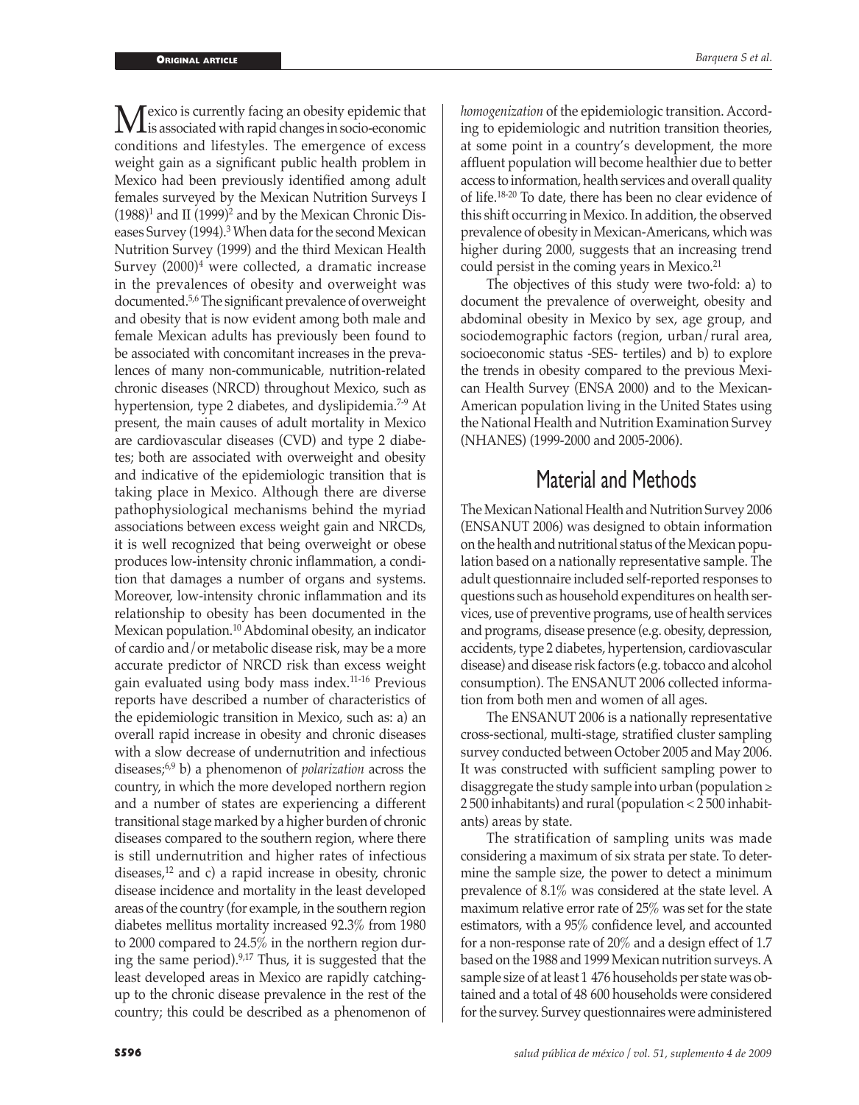**M** exico is currently facing an obesity epidemic that is associated with rapid changes in socio-economic conditions and lifectules. The amorganes of exerce conditions and lifestyles. The emergence of excess weight gain as a significant public health problem in Mexico had been previously identified among adult females surveyed by the Mexican Nutrition Surveys I  $(1988)^1$  and II  $(1999)^2$  and by the Mexican Chronic Diseases Survey (1994).<sup>3</sup> When data for the second Mexican Nutrition Survey (1999) and the third Mexican Health Survey  $(2000)^4$  were collected, a dramatic increase in the prevalences of obesity and overweight was documented.5,6 The significant prevalence of overweight and obesity that is now evident among both male and female Mexican adults has previously been found to be associated with concomitant increases in the prevalences of many non-communicable, nutrition-related chronic diseases (NRCD) throughout Mexico, such as hypertension, type 2 diabetes, and dyslipidemia.<sup>7-9</sup> At present, the main causes of adult mortality in Mexico are cardiovascular diseases (CVD) and type 2 diabetes; both are associated with overweight and obesity and indicative of the epidemiologic transition that is taking place in Mexico. Although there are diverse pathophysiological mechanisms behind the myriad associations between excess weight gain and NRCDs, it is well recognized that being overweight or obese produces low-intensity chronic inflammation, a condition that damages a number of organs and systems. Moreover, low-intensity chronic inflammation and its relationship to obesity has been documented in the Mexican population.10 Abdominal obesity, an indicator of cardio and/or metabolic disease risk, may be a more accurate predictor of NRCD risk than excess weight gain evaluated using body mass index.11-16 Previous reports have described a number of characteristics of the epidemiologic transition in Mexico, such as: a) an overall rapid increase in obesity and chronic diseases with a slow decrease of undernutrition and infectious diseases;6,9 b) a phenomenon of *polarization* across the country, in which the more developed northern region and a number of states are experiencing a different transitional stage marked by a higher burden of chronic diseases compared to the southern region, where there is still undernutrition and higher rates of infectious diseases, $12$  and c) a rapid increase in obesity, chronic disease incidence and mortality in the least developed areas of the country (for example, in the southern region diabetes mellitus mortality increased 92.3% from 1980 to 2000 compared to 24.5% in the northern region during the same period).9,17 Thus, it is suggested that the least developed areas in Mexico are rapidly catchingup to the chronic disease prevalence in the rest of the country; this could be described as a phenomenon of

*homogenization* of the epidemiologic transition. According to epidemiologic and nutrition transition theories, at some point in a country's development, the more affluent population will become healthier due to better access to information, health services and overall quality of life.18-20 To date, there has been no clear evidence of this shift occurring in Mexico. In addition, the observed prevalence of obesity in Mexican-Americans, which was higher during 2000, suggests that an increasing trend could persist in the coming years in Mexico.<sup>21</sup>

The objectives of this study were two-fold: a) to document the prevalence of overweight, obesity and abdominal obesity in Mexico by sex, age group, and sociodemographic factors (region, urban/rural area, socioeconomic status -SES- tertiles) and b) to explore the trends in obesity compared to the previous Mexican Health Survey (ENSA 2000) and to the Mexican-American population living in the United States using the National Health and Nutrition Examination Survey (NHANES) (1999-2000 and 2005-2006).

# Material and Methods

The Mexican National Health and Nutrition Survey 2006 (ENSANUT 2006) was designed to obtain information on the health and nutritional status of the Mexican population based on a nationally representative sample. The adult questionnaire included self-reported responses to questions such as household expenditures on health services, use of preventive programs, use of health services and programs, disease presence (e.g. obesity, depression, accidents, type 2 diabetes, hypertension, cardiovascular disease) and disease risk factors (e.g. tobacco and alcohol consumption). The ENSANUT 2006 collected information from both men and women of all ages.

The ENSANUT 2006 is a nationally representative cross-sectional, multi-stage, stratified cluster sampling survey conducted between October 2005 and May 2006. It was constructed with sufficient sampling power to disaggregate the study sample into urban (population  $\geq$ 2 500 inhabitants) and rural (population < 2 500 inhabitants) areas by state.

The stratification of sampling units was made considering a maximum of six strata per state. To determine the sample size, the power to detect a minimum prevalence of 8.1% was considered at the state level. A maximum relative error rate of 25% was set for the state estimators, with a 95% confidence level, and accounted for a non-response rate of 20% and a design effect of 1.7 based on the 1988 and 1999 Mexican nutrition surveys. A sample size of at least 1 476 households per state was obtained and a total of 48 600 households were considered for the survey. Survey questionnaires were administered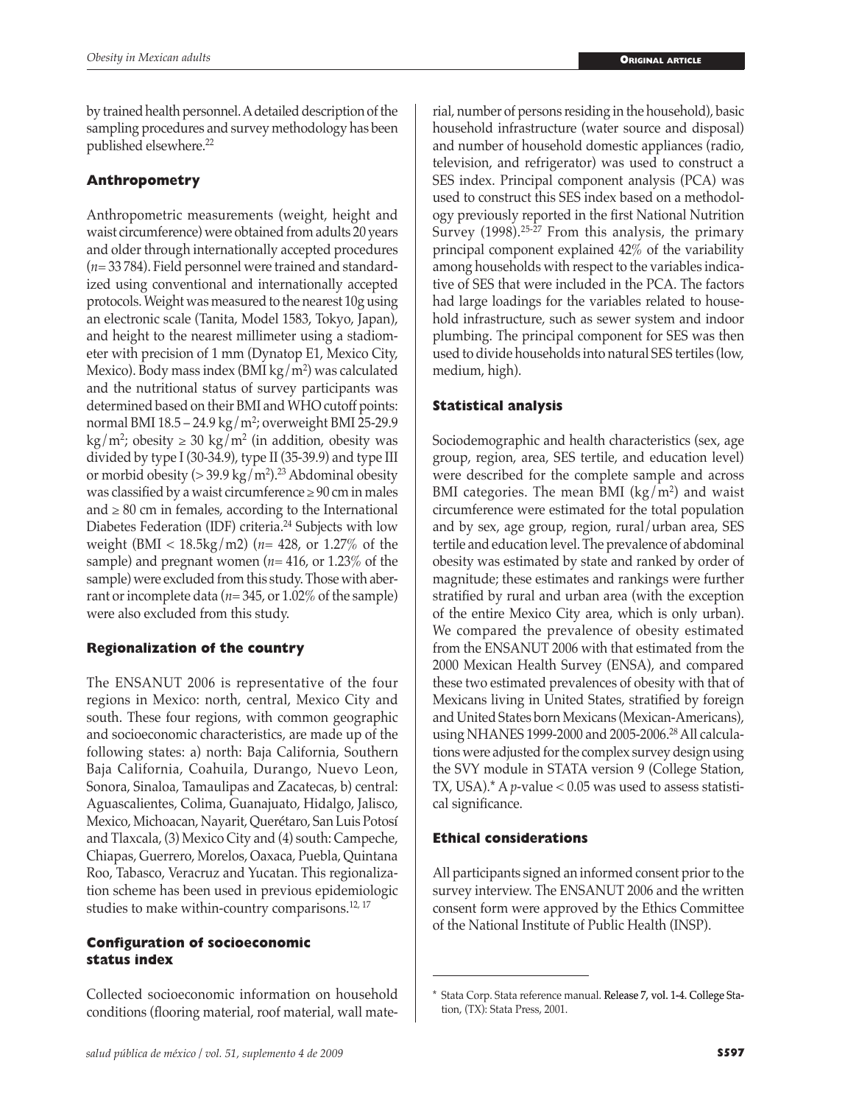by trained health personnel. A detailed description of the sampling procedures and survey methodology has been published elsewhere.<sup>22</sup>

## **Anthropometry**

Anthropometric measurements (weight, height and waist circumference) were obtained from adults 20 years and older through internationally accepted procedures (*n=* 33 784). Field personnel were trained and standardized using conventional and internationally accepted protocols. Weight was measured to the nearest 10g using an electronic scale (Tanita, Model 1583, Tokyo, Japan), and height to the nearest millimeter using a stadiometer with precision of 1 mm (Dynatop E1, Mexico City, Mexico). Body mass index (BMI kg/m²) was calculated and the nutritional status of survey participants was determined based on their BMI and WHO cutoff points: normal BMI 18.5 – 24.9 kg/m2 ; overweight BMI 25-29.9  $\text{kg/m}^2$ ; obesity  $\geq 30 \text{ kg/m}^2$  (in addition, obesity was divided by type I (30-34.9), type II (35-39.9) and type III or morbid obesity  $(>39.9 \text{ kg/m}^2)$ .<sup>23</sup> Abdominal obesity was classified by a waist circumference  $\geq 90$  cm in males and  $\geq 80$  cm in females, according to the International Diabetes Federation (IDF) criteria.24 Subjects with low weight (BMI < 18.5kg/m2) (*n*= 428, or 1.27% of the sample) and pregnant women (*n*= 416, or 1.23% of the sample) were excluded from this study. Those with aberrant or incomplete data (*n*= 345, or 1.02% of the sample) were also excluded from this study.

## **Regionalization of the country**

The ENSANUT 2006 is representative of the four regions in Mexico: north, central, Mexico City and south. These four regions, with common geographic and socioeconomic characteristics, are made up of the following states: a) north: Baja California, Southern Baja California, Coahuila, Durango, Nuevo Leon, Sonora, Sinaloa, Tamaulipas and Zacatecas, b) central: Aguascalientes, Colima, Guanajuato, Hidalgo, Jalisco, Mexico, Michoacan, Nayarit, Querétaro, San Luis Potosí and Tlaxcala, (3) Mexico City and (4) south: Campeche, Chiapas, Guerrero, Morelos, Oaxaca, Puebla, Quintana Roo, Tabasco, Veracruz and Yucatan. This regionalization scheme has been used in previous epidemiologic studies to make within-country comparisons.<sup>12, 17</sup>

## **Configuration of socioeconomic status index**

Collected socioeconomic information on household conditions (flooring material, roof material, wall material, number of persons residing in the household), basic household infrastructure (water source and disposal) and number of household domestic appliances (radio, television, and refrigerator) was used to construct a SES index. Principal component analysis (PCA) was used to construct this SES index based on a methodology previously reported in the first National Nutrition Survey (1998).<sup>25-27</sup> From this analysis, the primary principal component explained 42% of the variability among households with respect to the variables indicative of SES that were included in the PCA. The factors had large loadings for the variables related to household infrastructure, such as sewer system and indoor plumbing. The principal component for SES was then used to divide households into natural SES tertiles (low, medium, high).

## **Statistical analysis**

Sociodemographic and health characteristics (sex, age group, region, area, SES tertile, and education level) were described for the complete sample and across BMI categories. The mean BMI  $(kg/m<sup>2</sup>)$  and waist circumference were estimated for the total population and by sex, age group, region, rural/urban area, SES tertile and education level. The prevalence of abdominal obesity was estimated by state and ranked by order of magnitude; these estimates and rankings were further stratified by rural and urban area (with the exception of the entire Mexico City area, which is only urban). We compared the prevalence of obesity estimated from the ENSANUT 2006 with that estimated from the 2000 Mexican Health Survey (ENSA), and compared these two estimated prevalences of obesity with that of Mexicans living in United States, stratified by foreign and United States born Mexicans (Mexican-Americans), using NHANES 1999-2000 and 2005-2006.28 All calculations were adjusted for the complex survey design using the SVY module in STATA version 9 (College Station, TX, USA). $*$  A *p*-value < 0.05 was used to assess statistical significance.

## **Ethical considerations**

All participants signed an informed consent prior to the survey interview. The ENSANUT 2006 and the written consent form were approved by the Ethics Committee of the National Institute of Public Health (INSP).

<sup>\*</sup> Stata Corp. Stata reference manual. Release 7, vol. 1-4. College Station, (TX): Stata Press, 2001.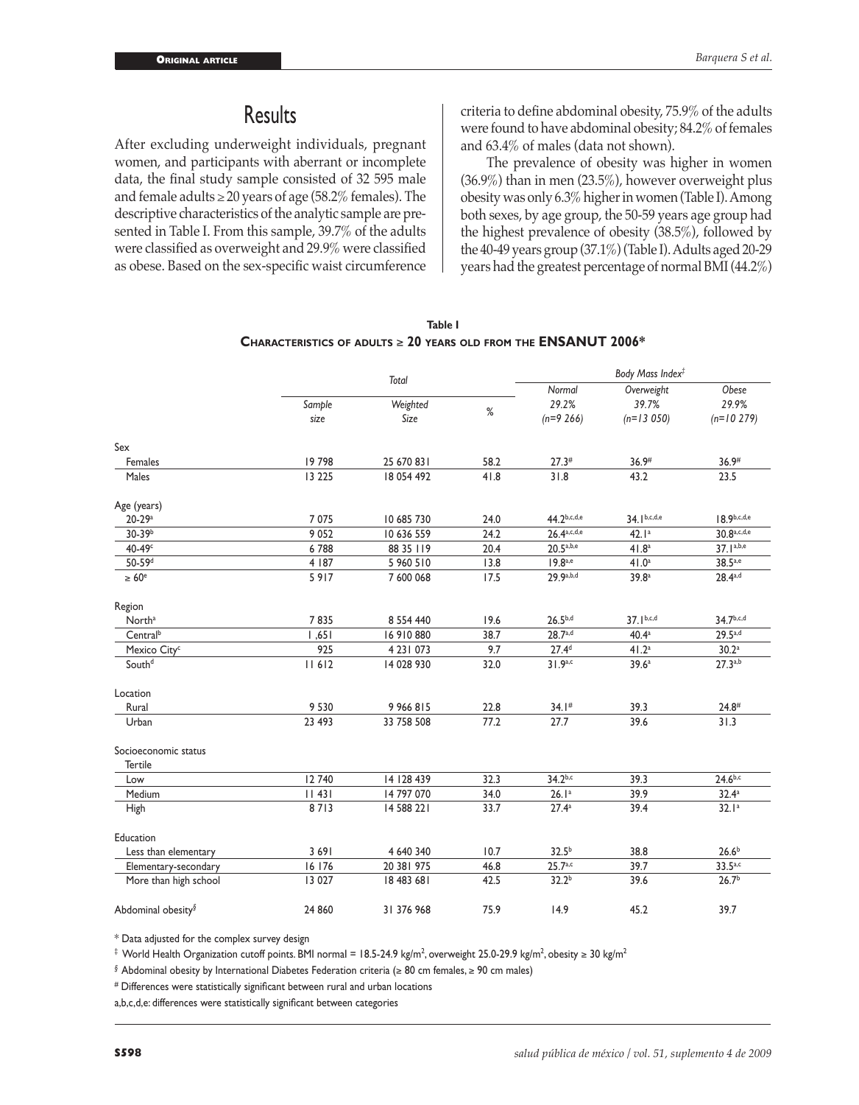# **Results**

After excluding underweight individuals, pregnant women, and participants with aberrant or incomplete data, the final study sample consisted of 32 595 male and female adults  $\geq$  20 years of age (58.2% females). The descriptive characteristics of the analytic sample are presented in Table I. From this sample, 39.7% of the adults were classified as overweight and 29.9% were classified as obese. Based on the sex-specific waist circumference criteria to define abdominal obesity, 75.9% of the adults were found to have abdominal obesity; 84.2% of females and 63.4% of males (data not shown).

The prevalence of obesity was higher in women (36.9%) than in men (23.5%), however overweight plus obesity was only 6.3% higher in women (Table I). Among both sexes, by age group, the 50-59 years age group had the highest prevalence of obesity (38.5%), followed by the 40-49 years group (37.1%) (Table I). Adults aged 20-29 years had the greatest percentage of normal BMI (44.2%)

|                                | Total          |                  |      | Body Mass Index <sup>‡</sup> |                      |                       |  |
|--------------------------------|----------------|------------------|------|------------------------------|----------------------|-----------------------|--|
|                                |                |                  |      | Normal                       | Overweight           | Obese                 |  |
|                                | Sample<br>size | Weighted<br>Size | %    | 29.2%                        | 39.7%<br>$(n=13050)$ | 29.9%<br>$(n=10 279)$ |  |
|                                |                |                  |      | $(n=9 266)$                  |                      |                       |  |
| Sex                            |                |                  |      |                              |                      |                       |  |
| Females                        | 19798          | 25 670 831       | 58.2 | 27.3#                        | 36.9#                | 36.9#                 |  |
| Males                          | 13 2 25        | 18 054 492       | 41.8 | 31.8                         | 43.2                 | 23.5                  |  |
| Age (years)                    |                |                  |      |                              |                      |                       |  |
| $20 - 29a$                     | 7075           | 10 685 730       | 24.0 | 44.2b,c,d,e                  | $34.1^{b,c,d,e}$     | $18.9^{b,c,d,e}$      |  |
| 30-39 <sup>b</sup>             | 9052           | 10 636 559       | 24.2 | 26.4a, c, d, e               | 42.1 <sup>a</sup>    | 30.8a,c,d,e           |  |
| $40-49c$                       | 6788           | 88 35 119        | 20.4 | $20.5^{a,b,e}$               | 41.8 <sup>a</sup>    | 37.1a,b,e             |  |
| 50-59 <sup>d</sup>             | 4 187          | 5 960 510        | 13.8 | $19.8^{a,e}$                 | 41.0 <sup>a</sup>    | 38.5a,e               |  |
| $\geq 60^{\circ}$              | 5917           | 7 600 068        | 17.5 | 29.9a,b,d                    | 39.8 <sup>a</sup>    | $28.4^{a,d}$          |  |
| Region                         |                |                  |      |                              |                      |                       |  |
| North <sup>a</sup>             | 7835           | 8 5 5 4 4 4 0    | 19.6 | $26.5^{b,d}$                 | $37.1^{b,c,d}$       | 34.7b,c,d             |  |
| Central <sup>b</sup>           | 1,651          | 16 910 880       | 38.7 | 28.7a,d                      | 40.4 <sup>a</sup>    | 29.5a,d               |  |
| Mexico City <sup>c</sup>       | 925            | 4 23   073       | 9.7  | 27.4 <sup>d</sup>            | 41.2 <sup>a</sup>    | 30.2 <sup>a</sup>     |  |
| South <sup>d</sup>             | 11612          | 14 028 930       | 32.0 | 31.9a,c                      | 39.6 <sup>a</sup>    | $27.3^{a,b}$          |  |
| Location                       |                |                  |      |                              |                      |                       |  |
| Rural                          | 9 5 3 0        | 9 966 815        | 22.8 | 34.1#                        | 39.3                 | $24.8^{#}$            |  |
| Urban                          | 23 493         | 33 758 508       | 77.2 | 27.7                         | 39.6                 | 31.3                  |  |
| Socioeconomic status           |                |                  |      |                              |                      |                       |  |
| Tertile                        |                |                  |      |                              |                      |                       |  |
| Low                            | 12 740         | 14 128 439       | 32.3 | $34.2^{b,c}$                 | 39.3                 | $24.6^{b,c}$          |  |
| Medium                         | 11431          | 14 797 070       | 34.0 | 26.1 <sup>a</sup>            | 39.9                 | 32.4a                 |  |
| High                           | 8713           | 14 588 221       | 33.7 | 27.4 <sup>a</sup>            | 39.4                 | 32.1 <sup>a</sup>     |  |
| Education                      |                |                  |      |                              |                      |                       |  |
| Less than elementary           | 3 6 9 1        | 4 640 340        | 10.7 | $32.5^{b}$                   | 38.8                 | 26.6 <sup>b</sup>     |  |
| Elementary-secondary           | 16 176         | 20 381 975       | 46.8 | $25.7^{a,c}$                 | 39.7                 | 33.5a, c              |  |
| More than high school          | 13 0 27        | 18 483 681       | 42.5 | 32.2 <sup>b</sup>            | 39.6                 | 26.7 <sup>b</sup>     |  |
| Abdominal obesity <sup>§</sup> | 24 860         | 31 376 968       | 75.9 | 14.9                         | 45.2                 | 39.7                  |  |

**Table I Characteristics of adults** ≥ **20 years old from the ENSANUT 2006\***

\* Data adjusted for the complex survey design

‡ World Health Organization cutoff points. BMI normaI = 18.5-24.9 kg/m<sup>2</sup>, overweight 25.0-29.9 kg/m<sup>2</sup>, obesity ≥ 30 kg/m<sup>2</sup>

*§* Abdominal obesity by International Diabetes Federation criteria (≥ 80 cm females, ≥ 90 cm males)

*#* Differences were statistically significant between rural and urban locations

a,b,c,d,e: differences were statistically significant between categories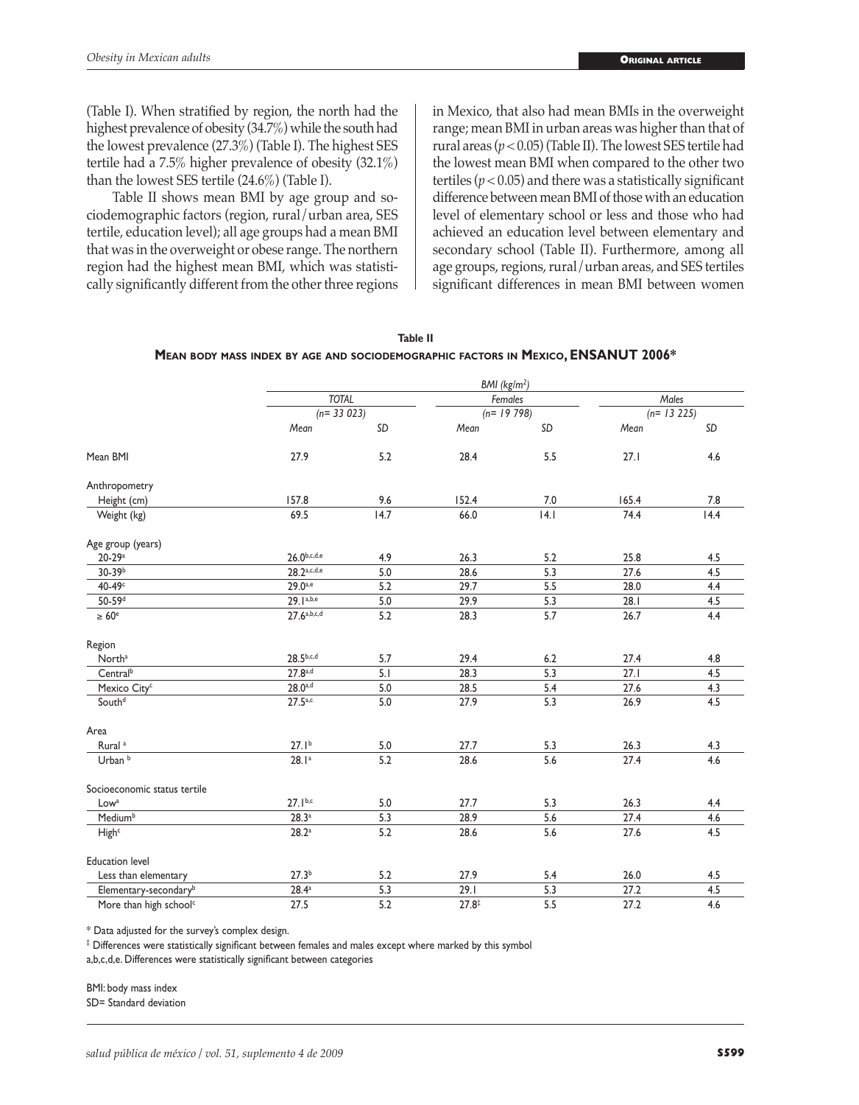(Table I). When stratified by region, the north had the highest prevalence of obesity (34.7%) while the south had the lowest prevalence (27.3%) (Table I). The highest SES tertile had a 7.5% higher prevalence of obesity (32.1%) than the lowest SES tertile (24.6%) (Table I).

Table II shows mean BMI by age group and sociodemographic factors (region, rural/urban area, SES tertile, education level); all age groups had a mean BMI that was in the overweight or obese range. The northern region had the highest mean BMI, which was statistically significantly different from the other three regions

in Mexico, that also had mean BMIs in the overweight range; mean BMI in urban areas was higher than that of rural areas (*p* < 0.05) (Table II). The lowest SES tertile had the lowest mean BMI when compared to the other two tertiles ( $p < 0.05$ ) and there was a statistically significant difference between mean BMI of those with an education level of elementary school or less and those who had achieved an education level between elementary and secondary school (Table II). Furthermore, among all age groups, regions, rural/urban areas, and SES tertiles significant differences in mean BMI between women

| Table II                                                                          |
|-----------------------------------------------------------------------------------|
| MEAN BODY MASS INDEX BY AGE AND SOCIODEMOGRAPHIC FACTORS IN MEXICO, ENSANUT 2006* |

|                                    | BMI (kg/m <sup>2</sup> )      |      |                        |     |                      |      |  |
|------------------------------------|-------------------------------|------|------------------------|-----|----------------------|------|--|
|                                    | <b>TOTAL</b><br>$(n= 33 023)$ |      | Females<br>$(n=19798)$ |     | Males<br>$(n=13225)$ |      |  |
|                                    |                               |      |                        |     |                      |      |  |
|                                    | Mean                          | SD   | Mean                   | SD  | Mean                 | SD   |  |
| Mean BMI                           | 27.9                          | 5.2  | 28.4                   | 5.5 | 27.1                 | 4.6  |  |
| Anthropometry                      |                               |      |                        |     |                      |      |  |
| Height (cm)                        | 157.8                         | 9.6  | 152.4                  | 7.0 | 165.4                | 7.8  |  |
| Weight (kg)                        | 69.5                          | 14.7 | 66.0                   | 4.1 | 74.4                 | 14.4 |  |
| Age group (years)                  |                               |      |                        |     |                      |      |  |
| $20 - 29a$                         | $26.0^{b,c,d,e}$              | 4.9  | 26.3                   | 5.2 | 25.8                 | 4.5  |  |
| 30-39b                             | 28.2a,c,d,e                   | 5.0  | 28.6                   | 5.3 | 27.6                 | 4.5  |  |
| 40-49c                             | $29.0^{a,e}$                  | 5.2  | 29.7                   | 5.5 | 28.0                 | 4.4  |  |
| 50-59 <sup>d</sup>                 | 29.1a,b,e                     | 5.0  | 29.9                   | 5.3 | 28.1                 | 4.5  |  |
| $\geq 60^e$                        | 27.6a,b,c,d                   | 5.2  | 28.3                   | 5.7 | 26.7                 | 4.4  |  |
| Region                             |                               |      |                        |     |                      |      |  |
| North <sup>a</sup>                 | $28.5^{b,c,d}$                | 5.7  | 29.4                   | 6.2 | 27.4                 | 4.8  |  |
| Central <sup>b</sup>               | $27.8^{a,d}$                  | 5.1  | 28.3                   | 5.3 | 27.1                 | 4.5  |  |
| Mexico City <sup>c</sup>           | $28.0^{a,d}$                  | 5.0  | 28.5                   | 5.4 | 27.6                 | 4.3  |  |
| South <sup>d</sup>                 | $27.5^{a,c}$                  | 5.0  | 27.9                   | 5.3 | 26.9                 | 4.5  |  |
| Area                               |                               |      |                        |     |                      |      |  |
| Rural <sup>a</sup>                 | 27.1 <sup>b</sup>             | 5.0  | 27.7                   | 5.3 | 26.3                 | 4.3  |  |
| Urban <sup>b</sup>                 | 28.1 <sup>a</sup>             | 5.2  | 28.6                   | 5.6 | 27.4                 | 4.6  |  |
| Socioeconomic status tertile       |                               |      |                        |     |                      |      |  |
| Low <sup>a</sup>                   | $27.1^{b,c}$                  | 5.0  | 27.7                   | 5.3 | 26.3                 | 4.4  |  |
| Medium <sup>b</sup>                | 28.3a                         | 5.3  | 28.9                   | 5.6 | 27.4                 | 4.6  |  |
| High <sup>c</sup>                  | 28.2a                         | 5.2  | 28.6                   | 5.6 | 27.6                 | 4.5  |  |
| <b>Education level</b>             |                               |      |                        |     |                      |      |  |
| Less than elementary               | 27.3 <sup>b</sup>             | 5.2  | 27.9                   | 5.4 | 26.0                 | 4.5  |  |
| Elementary-secondary <sup>b</sup>  | $28.4^a$                      | 5.3  | 29.1                   | 5.3 | 27.2                 | 4.5  |  |
| More than high school <sup>c</sup> | 27.5                          | 5.2  | $27.8^{\ddagger}$      | 5.5 | 27.2                 | 4.6  |  |

\* Data adjusted for the survey's complex design.

 $^\ddag$  Differences were statistically significant between females and males except where marked by this symbol

a,b,c,d,e. Differences were statistically significant between categories

BMI: body mass index

SD= Standard deviation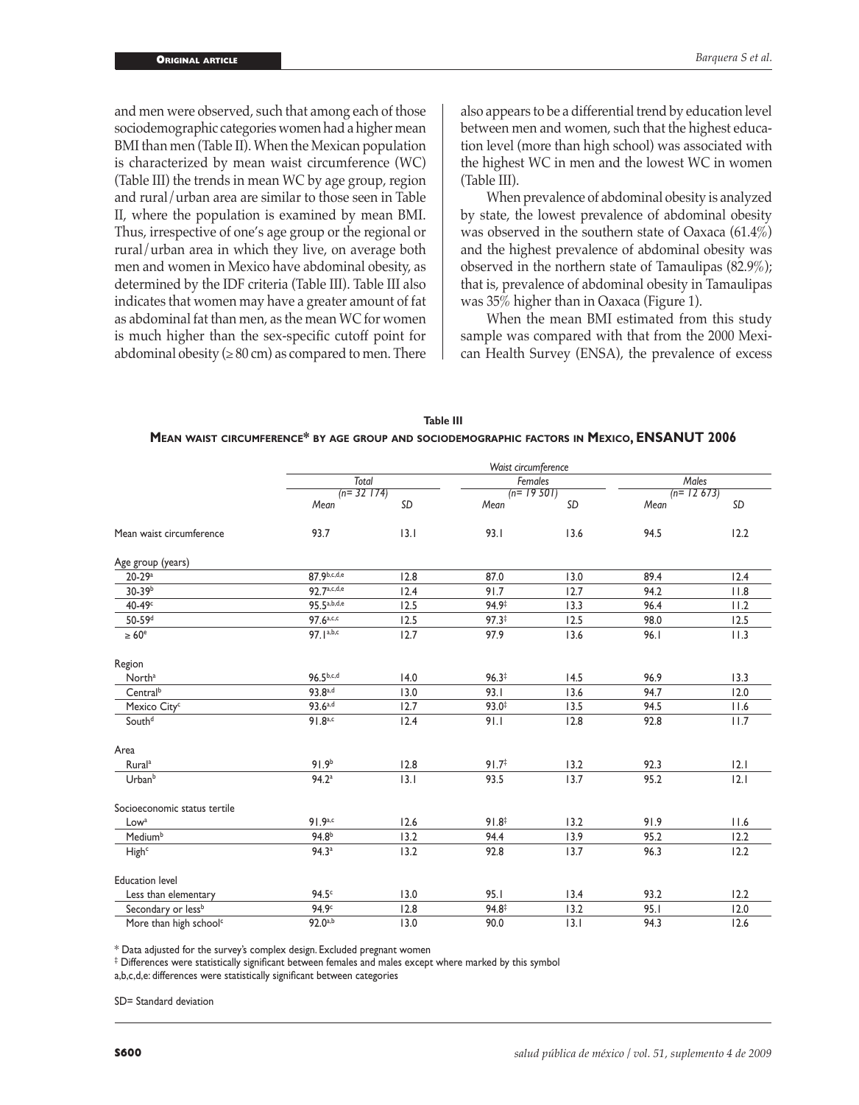and men were observed, such that among each of those sociodemographic categories women had a higher mean BMI than men (Table II). When the Mexican population is characterized by mean waist circumference (WC) (Table III) the trends in mean WC by age group, region and rural/urban area are similar to those seen in Table II, where the population is examined by mean BMI. Thus, irrespective of one's age group or the regional or rural/urban area in which they live, on average both men and women in Mexico have abdominal obesity, as determined by the IDF criteria (Table III). Table III also indicates that women may have a greater amount of fat as abdominal fat than men, as the mean WC for women is much higher than the sex-specific cutoff point for abdominal obesity  $(≥ 80 cm)$  as compared to men. There

also appears to be a differential trend by education level between men and women, such that the highest education level (more than high school) was associated with the highest WC in men and the lowest WC in women (Table III).

When prevalence of abdominal obesity is analyzed by state, the lowest prevalence of abdominal obesity was observed in the southern state of Oaxaca (61.4%) and the highest prevalence of abdominal obesity was observed in the northern state of Tamaulipas (82.9%); that is, prevalence of abdominal obesity in Tamaulipas was 35% higher than in Oaxaca (Figure 1).

When the mean BMI estimated from this study sample was compared with that from the 2000 Mexican Health Survey (ENSA), the prevalence of excess

| Table III                                                                                   |
|---------------------------------------------------------------------------------------------|
| MEAN WAIST CIRCUMFERENCE* BY AGE GROUP AND SOCIODEMOGRAPHIC FACTORS IN MEXICO, ENSANUT 2006 |

|                                    | Waist circumference     |      |                        |        |                      |      |  |
|------------------------------------|-------------------------|------|------------------------|--------|----------------------|------|--|
|                                    | Total<br>$(n=32 \ 174)$ |      | Females<br>$(n=19501)$ |        | Males<br>$(n=12673)$ |      |  |
|                                    |                         |      |                        |        |                      |      |  |
|                                    | Mean                    | SD   | Mean                   | SD     | Mean                 | SD   |  |
| Mean waist circumference           | 93.7                    | 13.1 | 93.1                   | 13.6   | 94.5                 | 12.2 |  |
| Age group (years)                  |                         |      |                        |        |                      |      |  |
| $20 - 29a$                         | 87.9b,c,d,e             | 12.8 | 87.0                   | 13.0   | 89.4                 | 12.4 |  |
| 30-39b                             | 97 7a,c,d,e             | 12.4 | 91.7                   | 12.7   | 94.2                 | 11.8 |  |
| $40-49c$                           | 95.5a, b, d, e          | 12.5 | 94.9‡                  | 13.3   | 96.4                 | 11.2 |  |
| 50-59 <sup>d</sup>                 | 97.6 <sup>a,c,c</sup>   | 12.5 | $97.3^{\ddagger}$      | 12.5   | 98.0                 | 12.5 |  |
| $\geq 60^e$                        | 97.1a,b,c               | 12.7 | 97.9                   | 13.6   | 96.1                 | 11.3 |  |
| Region                             |                         |      |                        |        |                      |      |  |
| North <sup>a</sup>                 | $96.5^{b,c,d}$          | 14.0 | $96.3*$                | 14.5   | 96.9                 | 13.3 |  |
| Central <sup>b</sup>               | 93.8a,d                 | 13.0 | 93.1                   | 13.6   | 94.7                 | 12.0 |  |
| Mexico City <sup>c</sup>           | $93.6^{a,d}$            | 12.7 | $93.0^{\ddagger}$      | 13.5   | 94.5                 | 11.6 |  |
| South <sup>d</sup>                 | $91.8^{a,c}$            | 12.4 | 91.1                   | 12.8   | 92.8                 | 11.7 |  |
| Area                               |                         |      |                        |        |                      |      |  |
| Rural <sup>a</sup>                 | 91.9 <sup>b</sup>       | 12.8 | 91.7 <sup>‡</sup>      | $13.2$ | 92.3                 | 2.1  |  |
| Urban <sup>b</sup>                 | 94.2 <sup>a</sup>       | 3.1  | 93.5                   | 13.7   | 95.2                 | 2.1  |  |
| Socioeconomic status tertile       |                         |      |                        |        |                      |      |  |
| Low <sup>a</sup>                   | 91.9a, c                | 12.6 | 91.8 <sup>‡</sup>      | 13.2   | 91.9                 | 11.6 |  |
| Medium <sup>b</sup>                | 94.8 <sup>b</sup>       | 13.2 | 94.4                   | 13.9   | 95.2                 | 12.2 |  |
| High <sup>c</sup>                  | 94.3 <sup>a</sup>       | 13.2 | 92.8                   | 13.7   | 96.3                 | 12.2 |  |
| <b>Education level</b>             |                         |      |                        |        |                      |      |  |
| Less than elementary               | 94.5 <sup>c</sup>       | 13.0 | 95.1                   | 13.4   | 93.2                 | 12.2 |  |
| Secondary or less <sup>b</sup>     | 94.9 <sup>c</sup>       | 12.8 | 94.8‡                  | 13.2   | 95.1                 | 12.0 |  |
| More than high school <sup>c</sup> | $92.0^{a,b}$            | 13.0 | 90.0                   | 13.1   | 94.3                 | 12.6 |  |

\* Data adjusted for the survey's complex design. Excluded pregnant women

 $^\ddag$  Differences were statistically significant between females and males except where marked by this symbol

a,b,c,d,e: differences were statistically significant between categories

SD= Standard deviation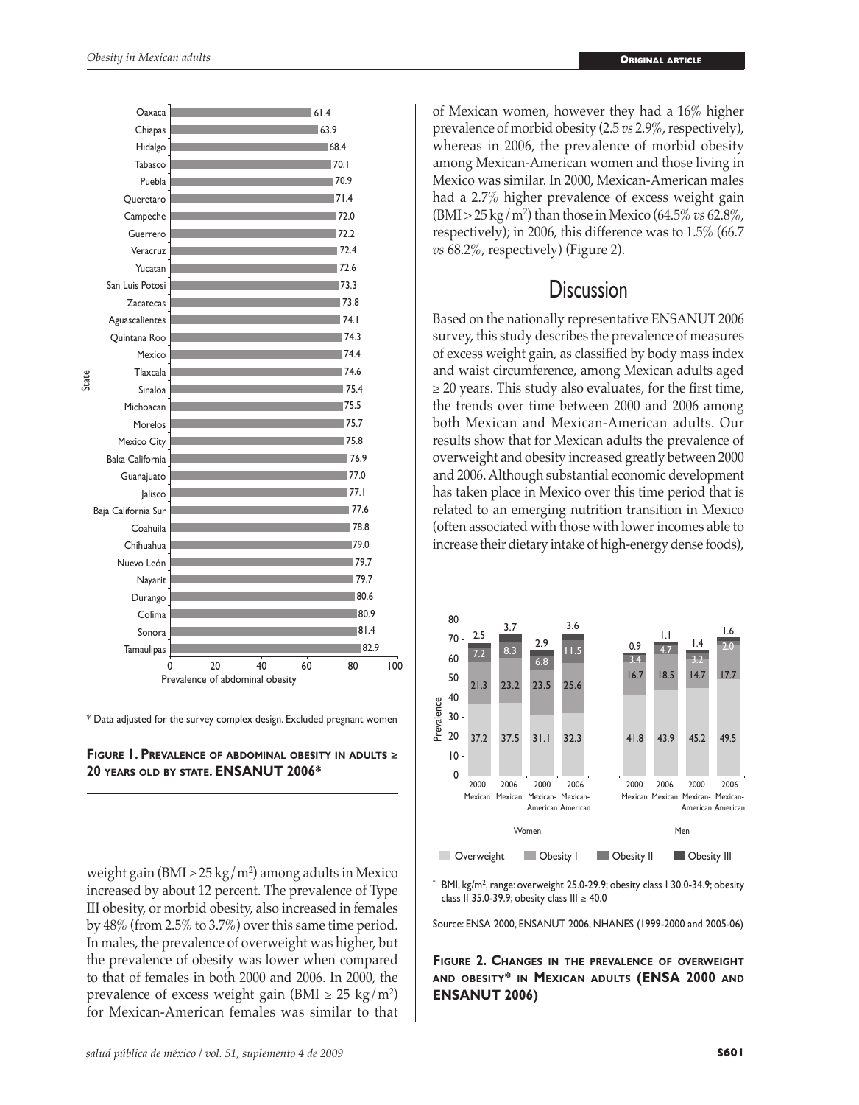

\* Data adjusted for the survey complex design. Excluded pregnant women



weight gain (BMI ≥ 25 kg/m<sup>2</sup>) among adults in Mexico increased by about 12 percent. The prevalence of Type III obesity, or morbid obesity, also increased in females by 48% (from 2.5% to 3.7%) over this same time period. In males, the prevalence of overweight was higher, but the prevalence of obesity was lower when compared to that of females in both 2000 and 2006. In 2000, the prevalence of excess weight gain (BMI  $\geq 25 \text{ kg/m}^2$ ) for Mexican-American females was similar to that

of Mexican women, however they had a 16% higher prevalence of morbid obesity (2.5 *vs* 2.9%, respectively), whereas in 2006, the prevalence of morbid obesity among Mexican-American women and those living in Mexico was similar. In 2000, Mexican-American males had a 2.7% higher prevalence of excess weight gain (BMI > 25 kg/m2 ) than those in Mexico (64.5% *vs* 62.8%, respectively); in 2006, this difference was to 1.5% (66.7 *vs* 68.2%, respectively) (Figure 2).

# **Discussion**

Based on the nationally representative ENSANUT 2006 survey, this study describes the prevalence of measures of excess weight gain, as classified by body mass index and waist circumference, among Mexican adults aged  $\geq$  20 years. This study also evaluates, for the first time, the trends over time between 2000 and 2006 among both Mexican and Mexican-American adults. Our results show that for Mexican adults the prevalence of overweight and obesity increased greatly between 2000 and 2006. Although substantial economic development has taken place in Mexico over this time period that is related to an emerging nutrition transition in Mexico (often associated with those with lower incomes able to increase their dietary intake of high-energy dense foods),



 $*$  BMI, kg/m<sup>2</sup>, range: overweight 25.0-29.9; obesity class 1 30.0-34.9; obesity class II 35.0-39.9; obesity class III ≥ 40.0

Source: ENSA 2000, ENSANUT 2006, NHANES (1999-2000 and 2005-06)

**Figure 2. Changes in the prevalence of overweight and obesity\* in Mexican adults (ENSA 2000 and ENSANUT 2006)**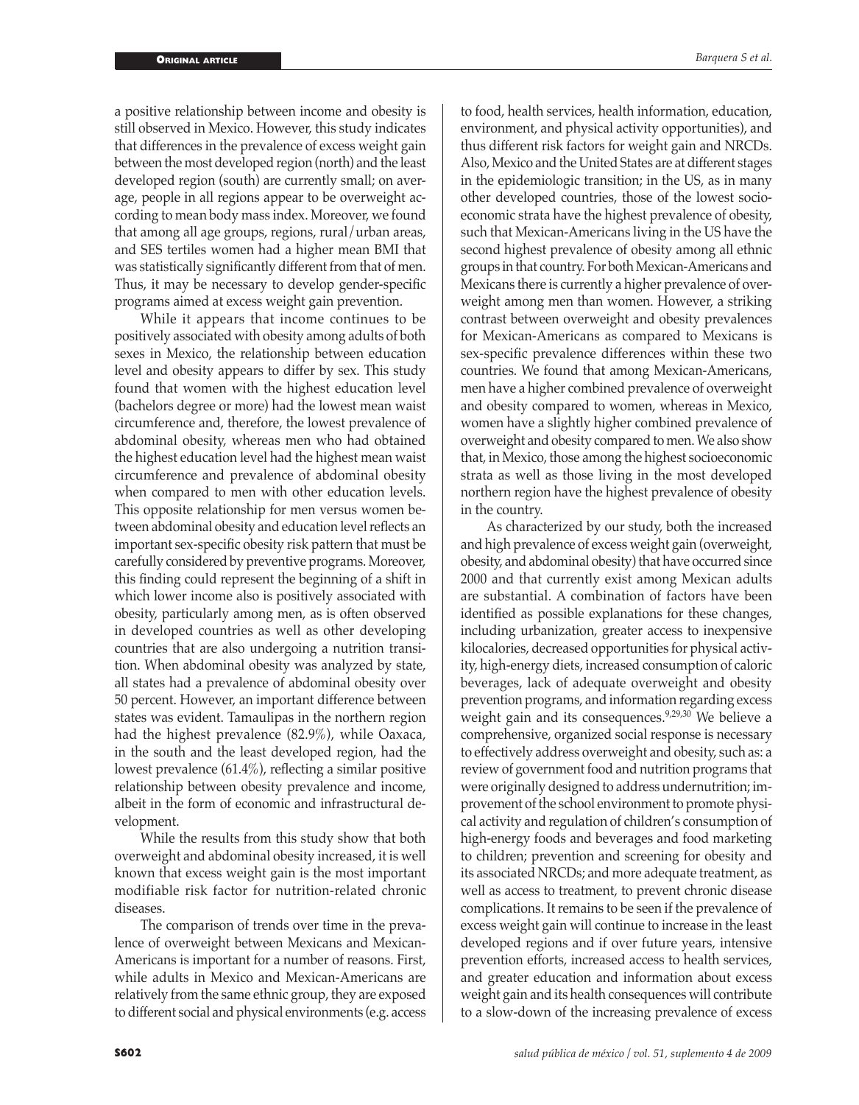a positive relationship between income and obesity is still observed in Mexico. However, this study indicates that differences in the prevalence of excess weight gain between the most developed region (north) and the least developed region (south) are currently small; on average, people in all regions appear to be overweight according to mean body mass index. Moreover, we found that among all age groups, regions, rural/urban areas, and SES tertiles women had a higher mean BMI that was statistically significantly different from that of men. Thus, it may be necessary to develop gender-specific programs aimed at excess weight gain prevention.

While it appears that income continues to be positively associated with obesity among adults of both sexes in Mexico, the relationship between education level and obesity appears to differ by sex. This study found that women with the highest education level (bachelors degree or more) had the lowest mean waist circumference and, therefore, the lowest prevalence of abdominal obesity, whereas men who had obtained the highest education level had the highest mean waist circumference and prevalence of abdominal obesity when compared to men with other education levels. This opposite relationship for men versus women between abdominal obesity and education level reflects an important sex-specific obesity risk pattern that must be carefully considered by preventive programs. Moreover, this finding could represent the beginning of a shift in which lower income also is positively associated with obesity, particularly among men, as is often observed in developed countries as well as other developing countries that are also undergoing a nutrition transition. When abdominal obesity was analyzed by state, all states had a prevalence of abdominal obesity over 50 percent. However, an important difference between states was evident. Tamaulipas in the northern region had the highest prevalence (82.9%), while Oaxaca, in the south and the least developed region, had the lowest prevalence (61.4%), reflecting a similar positive relationship between obesity prevalence and income, albeit in the form of economic and infrastructural development.

While the results from this study show that both overweight and abdominal obesity increased, it is well known that excess weight gain is the most important modifiable risk factor for nutrition-related chronic diseases.

The comparison of trends over time in the prevalence of overweight between Mexicans and Mexican-Americans is important for a number of reasons. First, while adults in Mexico and Mexican-Americans are relatively from the same ethnic group, they are exposed to different social and physical environments (e.g. access

to food, health services, health information, education, environment, and physical activity opportunities), and thus different risk factors for weight gain and NRCDs. Also, Mexico and the United States are at different stages in the epidemiologic transition; in the US, as in many other developed countries, those of the lowest socioeconomic strata have the highest prevalence of obesity, such that Mexican-Americans living in the US have the second highest prevalence of obesity among all ethnic groups in that country. For both Mexican-Americans and Mexicans there is currently a higher prevalence of overweight among men than women. However, a striking contrast between overweight and obesity prevalences for Mexican-Americans as compared to Mexicans is sex-specific prevalence differences within these two countries. We found that among Mexican-Americans, men have a higher combined prevalence of overweight and obesity compared to women, whereas in Mexico, women have a slightly higher combined prevalence of overweight and obesity compared to men. We also show that, in Mexico, those among the highest socioeconomic strata as well as those living in the most developed northern region have the highest prevalence of obesity in the country.

As characterized by our study, both the increased and high prevalence of excess weight gain (overweight, obesity, and abdominal obesity) that have occurred since 2000 and that currently exist among Mexican adults are substantial. A combination of factors have been identified as possible explanations for these changes, including urbanization, greater access to inexpensive kilocalories, decreased opportunities for physical activity, high-energy diets, increased consumption of caloric beverages, lack of adequate overweight and obesity prevention programs, and information regarding excess weight gain and its consequences.<sup>9,29,30</sup> We believe a comprehensive, organized social response is necessary to effectively address overweight and obesity, such as: a review of government food and nutrition programs that were originally designed to address undernutrition; improvement of the school environment to promote physical activity and regulation of children's consumption of high-energy foods and beverages and food marketing to children; prevention and screening for obesity and its associated NRCDs; and more adequate treatment, as well as access to treatment, to prevent chronic disease complications. It remains to be seen if the prevalence of excess weight gain will continue to increase in the least developed regions and if over future years, intensive prevention efforts, increased access to health services, and greater education and information about excess weight gain and its health consequences will contribute to a slow-down of the increasing prevalence of excess